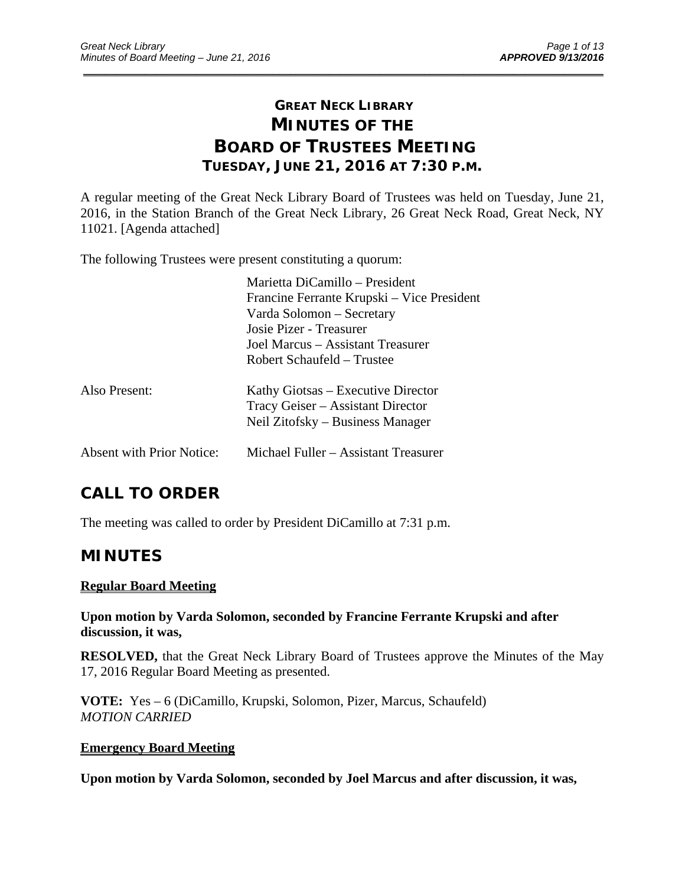# **GREAT NECK LIBRARY MINUTES OF THE BOARD OF TRUSTEES MEETING TUESDAY, JUNE 21, 2016 AT 7:30 P.M.**

\_\_\_\_\_\_\_\_\_\_\_\_\_\_\_\_\_\_\_\_\_\_\_\_\_\_\_\_\_\_\_\_\_\_\_\_\_\_\_\_\_\_\_\_\_\_\_\_\_\_\_\_\_\_\_\_\_\_\_\_\_\_\_\_\_\_\_\_\_\_\_\_\_\_\_\_\_\_\_\_\_\_\_\_\_\_\_\_\_\_\_\_\_

A regular meeting of the Great Neck Library Board of Trustees was held on Tuesday, June 21, 2016, in the Station Branch of the Great Neck Library, 26 Great Neck Road, Great Neck, NY 11021. [Agenda attached]

The following Trustees were present constituting a quorum:

|                           | Marietta DiCamillo – President<br>Francine Ferrante Krupski – Vice President<br>Varda Solomon – Secretary<br>Josie Pizer - Treasurer<br>Joel Marcus – Assistant Treasurer<br>Robert Schaufeld – Trustee |
|---------------------------|---------------------------------------------------------------------------------------------------------------------------------------------------------------------------------------------------------|
| Also Present:             | Kathy Giotsas – Executive Director<br>Tracy Geiser – Assistant Director<br>Neil Zitofsky – Business Manager                                                                                             |
| Absent with Prior Notice: | Michael Fuller – Assistant Treasurer                                                                                                                                                                    |

# **CALL TO ORDER**

The meeting was called to order by President DiCamillo at 7:31 p.m.

# **MINUTES**

# **Regular Board Meeting**

**Upon motion by Varda Solomon, seconded by Francine Ferrante Krupski and after discussion, it was,** 

**RESOLVED,** that the Great Neck Library Board of Trustees approve the Minutes of the May 17, 2016 Regular Board Meeting as presented.

**VOTE:** Yes – 6 (DiCamillo, Krupski, Solomon, Pizer, Marcus, Schaufeld) *MOTION CARRIED* 

## **Emergency Board Meeting**

**Upon motion by Varda Solomon, seconded by Joel Marcus and after discussion, it was,**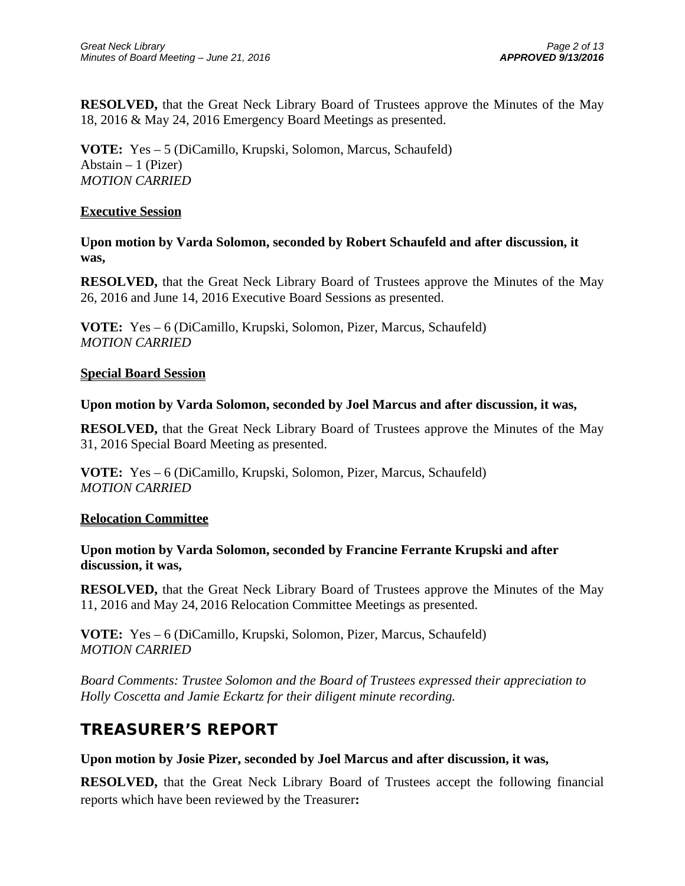**RESOLVED,** that the Great Neck Library Board of Trustees approve the Minutes of the May 18, 2016 & May 24, 2016 Emergency Board Meetings as presented.

**VOTE:** Yes – 5 (DiCamillo, Krupski, Solomon, Marcus, Schaufeld) Abstain  $-1$  (Pizer) *MOTION CARRIED* 

## **Executive Session**

**Upon motion by Varda Solomon, seconded by Robert Schaufeld and after discussion, it was,** 

**RESOLVED,** that the Great Neck Library Board of Trustees approve the Minutes of the May 26, 2016 and June 14, 2016 Executive Board Sessions as presented.

**VOTE:** Yes – 6 (DiCamillo, Krupski, Solomon, Pizer, Marcus, Schaufeld) *MOTION CARRIED* 

## **Special Board Session**

## **Upon motion by Varda Solomon, seconded by Joel Marcus and after discussion, it was,**

**RESOLVED,** that the Great Neck Library Board of Trustees approve the Minutes of the May 31, 2016 Special Board Meeting as presented.

**VOTE:** Yes – 6 (DiCamillo, Krupski, Solomon, Pizer, Marcus, Schaufeld) *MOTION CARRIED* 

## **Relocation Committee**

# **Upon motion by Varda Solomon, seconded by Francine Ferrante Krupski and after discussion, it was,**

**RESOLVED,** that the Great Neck Library Board of Trustees approve the Minutes of the May 11, 2016 and May 24, 2016 Relocation Committee Meetings as presented.

**VOTE:** Yes – 6 (DiCamillo, Krupski, Solomon, Pizer, Marcus, Schaufeld) *MOTION CARRIED* 

*Board Comments: Trustee Solomon and the Board of Trustees expressed their appreciation to Holly Coscetta and Jamie Eckartz for their diligent minute recording.* 

# **TREASURER'S REPORT**

## **Upon motion by Josie Pizer, seconded by Joel Marcus and after discussion, it was,**

**RESOLVED,** that the Great Neck Library Board of Trustees accept the following financial reports which have been reviewed by the Treasurer**:**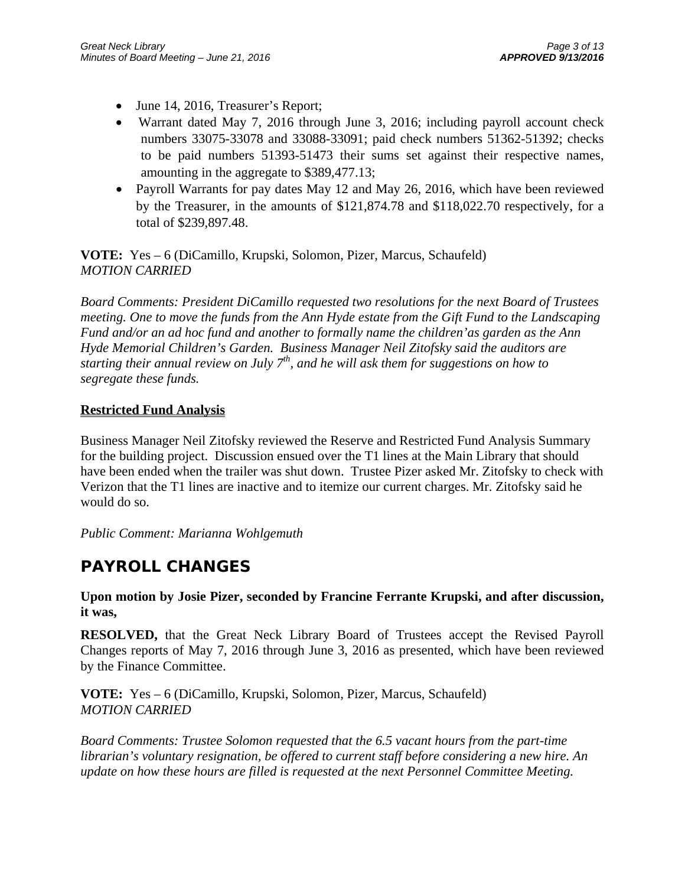- June 14, 2016, Treasurer's Report;
- Warrant dated May 7, 2016 through June 3, 2016; including payroll account check numbers 33075-33078 and 33088-33091; paid check numbers 51362-51392; checks to be paid numbers 51393-51473 their sums set against their respective names, amounting in the aggregate to \$389,477.13;
- Payroll Warrants for pay dates May 12 and May 26, 2016, which have been reviewed by the Treasurer, in the amounts of \$121,874.78 and \$118,022.70 respectively, for a total of \$239,897.48.

**VOTE:** Yes – 6 (DiCamillo, Krupski, Solomon, Pizer, Marcus, Schaufeld) *MOTION CARRIED* 

*Board Comments: President DiCamillo requested two resolutions for the next Board of Trustees meeting. One to move the funds from the Ann Hyde estate from the Gift Fund to the Landscaping Fund and/or an ad hoc fund and another to formally name the children'as garden as the Ann Hyde Memorial Children's Garden. Business Manager Neil Zitofsky said the auditors are starting their annual review on July 7th, and he will ask them for suggestions on how to segregate these funds.* 

# **Restricted Fund Analysis**

Business Manager Neil Zitofsky reviewed the Reserve and Restricted Fund Analysis Summary for the building project. Discussion ensued over the T1 lines at the Main Library that should have been ended when the trailer was shut down. Trustee Pizer asked Mr. Zitofsky to check with Verizon that the T1 lines are inactive and to itemize our current charges. Mr. Zitofsky said he would do so.

*Public Comment: Marianna Wohlgemuth* 

# **PAYROLL CHANGES**

**Upon motion by Josie Pizer, seconded by Francine Ferrante Krupski, and after discussion, it was,** 

**RESOLVED,** that the Great Neck Library Board of Trustees accept the Revised Payroll Changes reports of May 7, 2016 through June 3, 2016 as presented, which have been reviewed by the Finance Committee.

**VOTE:** Yes – 6 (DiCamillo, Krupski, Solomon, Pizer, Marcus, Schaufeld) *MOTION CARRIED* 

*Board Comments: Trustee Solomon requested that the 6.5 vacant hours from the part-time librarian's voluntary resignation, be offered to current staff before considering a new hire. An update on how these hours are filled is requested at the next Personnel Committee Meeting.*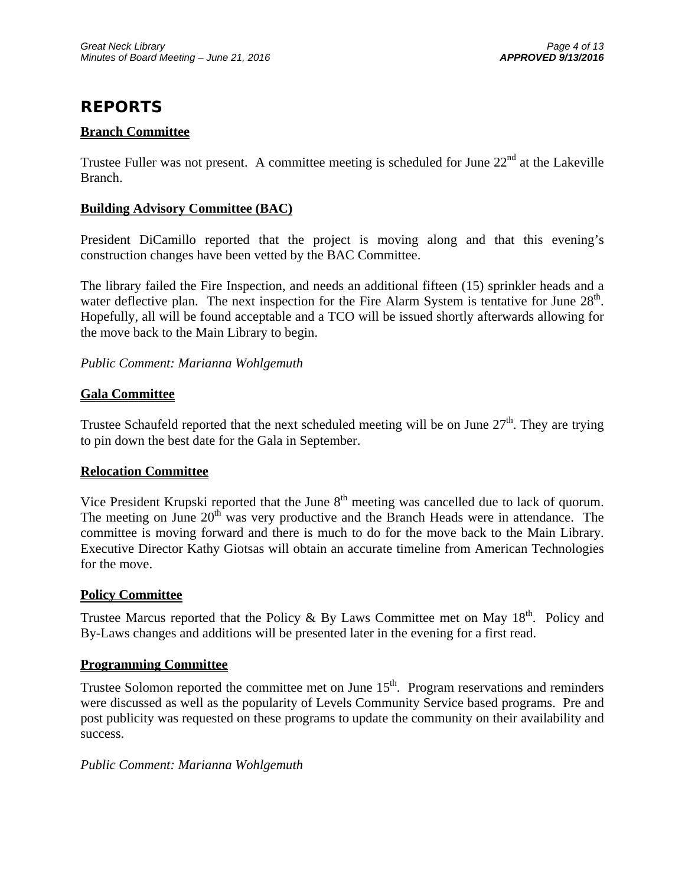# **REPORTS**

# **Branch Committee**

Trustee Fuller was not present. A committee meeting is scheduled for June  $22<sup>nd</sup>$  at the Lakeville Branch.

# **Building Advisory Committee (BAC)**

President DiCamillo reported that the project is moving along and that this evening's construction changes have been vetted by the BAC Committee.

The library failed the Fire Inspection, and needs an additional fifteen (15) sprinkler heads and a water deflective plan. The next inspection for the Fire Alarm System is tentative for June  $28<sup>th</sup>$ . Hopefully, all will be found acceptable and a TCO will be issued shortly afterwards allowing for the move back to the Main Library to begin.

# *Public Comment: Marianna Wohlgemuth*

# **Gala Committee**

Trustee Schaufeld reported that the next scheduled meeting will be on June  $27<sup>th</sup>$ . They are trying to pin down the best date for the Gala in September.

## **Relocation Committee**

Vice President Krupski reported that the June 8<sup>th</sup> meeting was cancelled due to lack of quorum. The meeting on June  $20<sup>th</sup>$  was very productive and the Branch Heads were in attendance. The committee is moving forward and there is much to do for the move back to the Main Library. Executive Director Kathy Giotsas will obtain an accurate timeline from American Technologies for the move.

## **Policy Committee**

Trustee Marcus reported that the Policy & By Laws Committee met on May  $18<sup>th</sup>$ . Policy and By-Laws changes and additions will be presented later in the evening for a first read.

## **Programming Committee**

Trustee Solomon reported the committee met on June  $15<sup>th</sup>$ . Program reservations and reminders were discussed as well as the popularity of Levels Community Service based programs. Pre and post publicity was requested on these programs to update the community on their availability and success.

## *Public Comment: Marianna Wohlgemuth*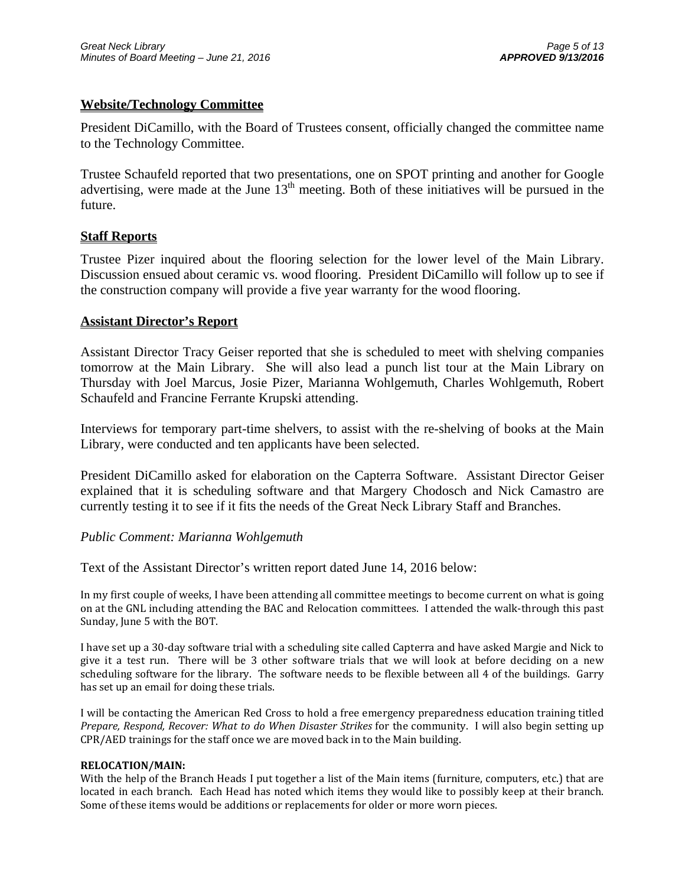# **Website/Technology Committee**

President DiCamillo, with the Board of Trustees consent, officially changed the committee name to the Technology Committee.

Trustee Schaufeld reported that two presentations, one on SPOT printing and another for Google advertising, were made at the June  $13<sup>th</sup>$  meeting. Both of these initiatives will be pursued in the future.

## **Staff Reports**

Trustee Pizer inquired about the flooring selection for the lower level of the Main Library. Discussion ensued about ceramic vs. wood flooring. President DiCamillo will follow up to see if the construction company will provide a five year warranty for the wood flooring.

### **Assistant Director's Report**

Assistant Director Tracy Geiser reported that she is scheduled to meet with shelving companies tomorrow at the Main Library. She will also lead a punch list tour at the Main Library on Thursday with Joel Marcus, Josie Pizer, Marianna Wohlgemuth, Charles Wohlgemuth, Robert Schaufeld and Francine Ferrante Krupski attending.

Interviews for temporary part-time shelvers, to assist with the re-shelving of books at the Main Library, were conducted and ten applicants have been selected.

President DiCamillo asked for elaboration on the Capterra Software. Assistant Director Geiser explained that it is scheduling software and that Margery Chodosch and Nick Camastro are currently testing it to see if it fits the needs of the Great Neck Library Staff and Branches.

### *Public Comment: Marianna Wohlgemuth*

Text of the Assistant Director's written report dated June 14, 2016 below:

In my first couple of weeks, I have been attending all committee meetings to become current on what is going on at the GNL including attending the BAC and Relocation committees. I attended the walk-through this past Sunday, June 5 with the BOT.

I have set up a 30-day software trial with a scheduling site called Capterra and have asked Margie and Nick to give it a test run. There will be 3 other software trials that we will look at before deciding on a new scheduling software for the library. The software needs to be flexible between all 4 of the buildings. Garry has set up an email for doing these trials.

I will be contacting the American Red Cross to hold a free emergency preparedness education training titled *Prepare, Respond, Recover: What to do When Disaster Strikes* for the community. I will also begin setting up CPR/AED trainings for the staff once we are moved back in to the Main building.

### **RELOCATION/MAIN:**

With the help of the Branch Heads I put together a list of the Main items (furniture, computers, etc.) that are located in each branch. Each Head has noted which items they would like to possibly keep at their branch. Some of these items would be additions or replacements for older or more worn pieces.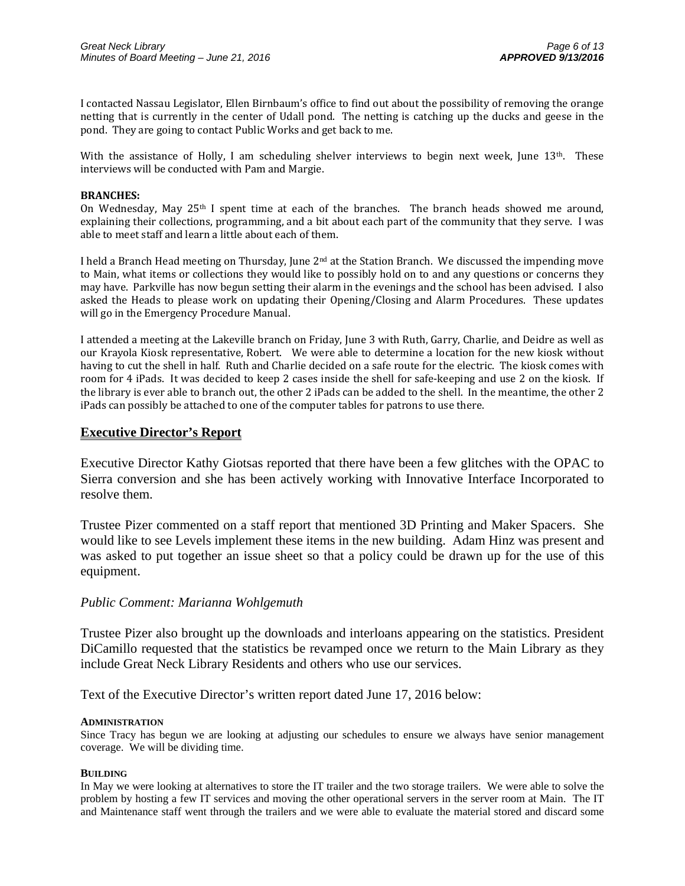I contacted Nassau Legislator, Ellen Birnbaum's office to find out about the possibility of removing the orange netting that is currently in the center of Udall pond. The netting is catching up the ducks and geese in the pond. They are going to contact Public Works and get back to me.

With the assistance of Holly, I am scheduling shelver interviews to begin next week, June  $13<sup>th</sup>$ . These interviews will be conducted with Pam and Margie.

#### **BRANCHES:**

On Wednesday, May  $25<sup>th</sup>$  I spent time at each of the branches. The branch heads showed me around, explaining their collections, programming, and a bit about each part of the community that they serve. I was able to meet staff and learn a little about each of them.

I held a Branch Head meeting on Thursday, June  $2<sup>nd</sup>$  at the Station Branch. We discussed the impending move to Main, what items or collections they would like to possibly hold on to and any questions or concerns they may have. Parkville has now begun setting their alarm in the evenings and the school has been advised. I also asked the Heads to please work on updating their Opening/Closing and Alarm Procedures. These updates will go in the Emergency Procedure Manual.

I attended a meeting at the Lakeville branch on Friday, June 3 with Ruth, Garry, Charlie, and Deidre as well as our Krayola Kiosk representative, Robert. We were able to determine a location for the new kiosk without having to cut the shell in half. Ruth and Charlie decided on a safe route for the electric. The kiosk comes with room for 4 iPads. It was decided to keep 2 cases inside the shell for safe-keeping and use 2 on the kiosk. If the library is ever able to branch out, the other 2 iPads can be added to the shell. In the meantime, the other 2 iPads can possibly be attached to one of the computer tables for patrons to use there.

#### **Executive Director's Report**

Executive Director Kathy Giotsas reported that there have been a few glitches with the OPAC to Sierra conversion and she has been actively working with Innovative Interface Incorporated to resolve them.

Trustee Pizer commented on a staff report that mentioned 3D Printing and Maker Spacers. She would like to see Levels implement these items in the new building. Adam Hinz was present and was asked to put together an issue sheet so that a policy could be drawn up for the use of this equipment.

### *Public Comment: Marianna Wohlgemuth*

Trustee Pizer also brought up the downloads and interloans appearing on the statistics. President DiCamillo requested that the statistics be revamped once we return to the Main Library as they include Great Neck Library Residents and others who use our services.

Text of the Executive Director's written report dated June 17, 2016 below:

#### **ADMINISTRATION**

Since Tracy has begun we are looking at adjusting our schedules to ensure we always have senior management coverage. We will be dividing time.

#### **BUILDING**

In May we were looking at alternatives to store the IT trailer and the two storage trailers. We were able to solve the problem by hosting a few IT services and moving the other operational servers in the server room at Main. The IT and Maintenance staff went through the trailers and we were able to evaluate the material stored and discard some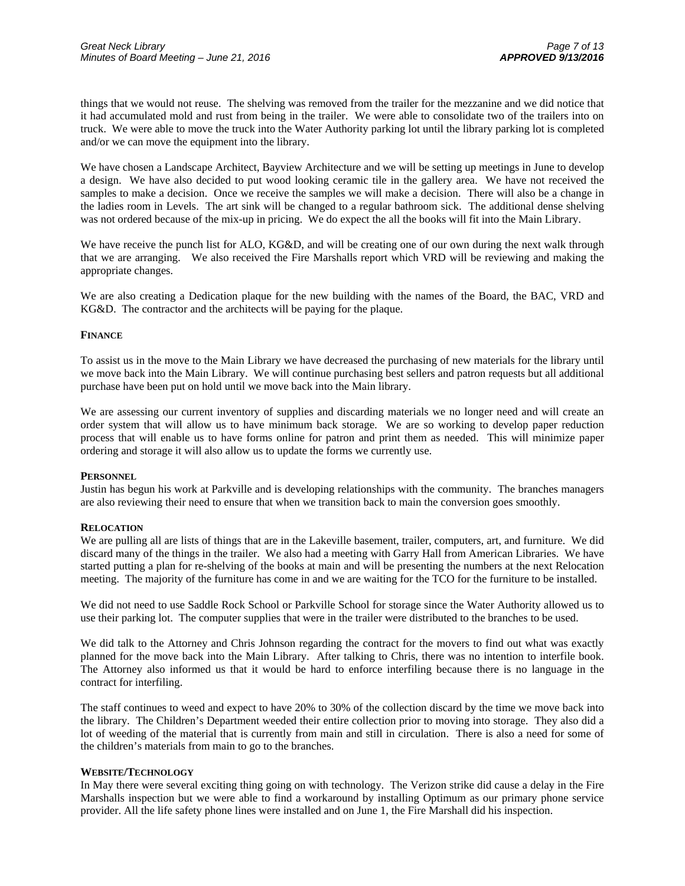things that we would not reuse. The shelving was removed from the trailer for the mezzanine and we did notice that it had accumulated mold and rust from being in the trailer. We were able to consolidate two of the trailers into on truck. We were able to move the truck into the Water Authority parking lot until the library parking lot is completed and/or we can move the equipment into the library.

We have chosen a Landscape Architect, Bayview Architecture and we will be setting up meetings in June to develop a design. We have also decided to put wood looking ceramic tile in the gallery area. We have not received the samples to make a decision. Once we receive the samples we will make a decision. There will also be a change in the ladies room in Levels. The art sink will be changed to a regular bathroom sick. The additional dense shelving was not ordered because of the mix-up in pricing. We do expect the all the books will fit into the Main Library.

We have receive the punch list for ALO, KG&D, and will be creating one of our own during the next walk through that we are arranging. We also received the Fire Marshalls report which VRD will be reviewing and making the appropriate changes.

We are also creating a Dedication plaque for the new building with the names of the Board, the BAC, VRD and KG&D. The contractor and the architects will be paying for the plaque.

#### **FINANCE**

To assist us in the move to the Main Library we have decreased the purchasing of new materials for the library until we move back into the Main Library. We will continue purchasing best sellers and patron requests but all additional purchase have been put on hold until we move back into the Main library.

We are assessing our current inventory of supplies and discarding materials we no longer need and will create an order system that will allow us to have minimum back storage. We are so working to develop paper reduction process that will enable us to have forms online for patron and print them as needed. This will minimize paper ordering and storage it will also allow us to update the forms we currently use.

#### **PERSONNEL**

Justin has begun his work at Parkville and is developing relationships with the community. The branches managers are also reviewing their need to ensure that when we transition back to main the conversion goes smoothly.

#### **RELOCATION**

We are pulling all are lists of things that are in the Lakeville basement, trailer, computers, art, and furniture. We did discard many of the things in the trailer. We also had a meeting with Garry Hall from American Libraries. We have started putting a plan for re-shelving of the books at main and will be presenting the numbers at the next Relocation meeting. The majority of the furniture has come in and we are waiting for the TCO for the furniture to be installed.

We did not need to use Saddle Rock School or Parkville School for storage since the Water Authority allowed us to use their parking lot. The computer supplies that were in the trailer were distributed to the branches to be used.

We did talk to the Attorney and Chris Johnson regarding the contract for the movers to find out what was exactly planned for the move back into the Main Library. After talking to Chris, there was no intention to interfile book. The Attorney also informed us that it would be hard to enforce interfiling because there is no language in the contract for interfiling.

The staff continues to weed and expect to have 20% to 30% of the collection discard by the time we move back into the library. The Children's Department weeded their entire collection prior to moving into storage. They also did a lot of weeding of the material that is currently from main and still in circulation. There is also a need for some of the children's materials from main to go to the branches.

#### **WEBSITE/TECHNOLOGY**

In May there were several exciting thing going on with technology. The Verizon strike did cause a delay in the Fire Marshalls inspection but we were able to find a workaround by installing Optimum as our primary phone service provider. All the life safety phone lines were installed and on June 1, the Fire Marshall did his inspection.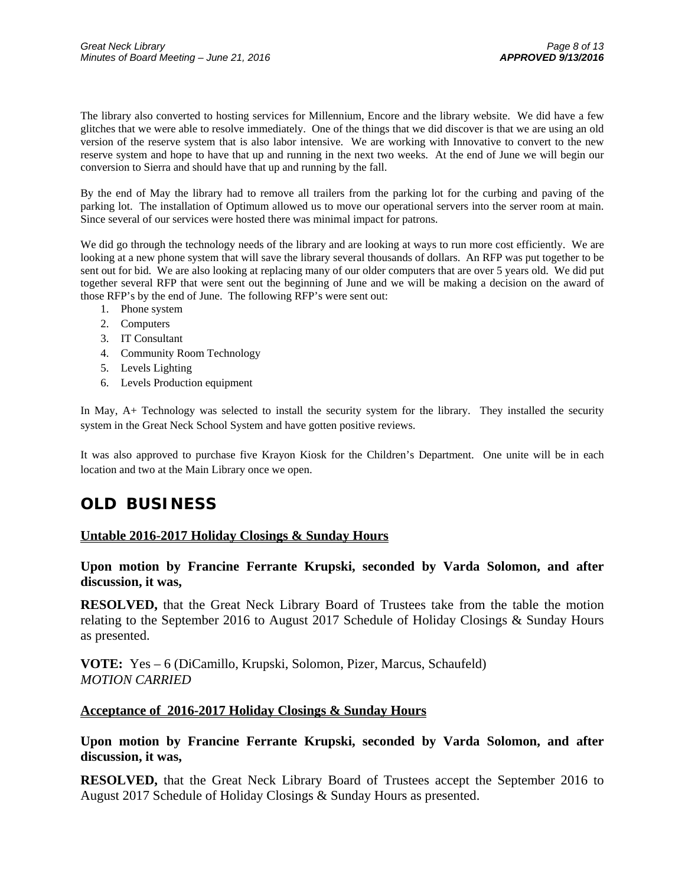The library also converted to hosting services for Millennium, Encore and the library website. We did have a few glitches that we were able to resolve immediately. One of the things that we did discover is that we are using an old version of the reserve system that is also labor intensive. We are working with Innovative to convert to the new reserve system and hope to have that up and running in the next two weeks. At the end of June we will begin our conversion to Sierra and should have that up and running by the fall.

By the end of May the library had to remove all trailers from the parking lot for the curbing and paving of the parking lot. The installation of Optimum allowed us to move our operational servers into the server room at main. Since several of our services were hosted there was minimal impact for patrons.

We did go through the technology needs of the library and are looking at ways to run more cost efficiently. We are looking at a new phone system that will save the library several thousands of dollars. An RFP was put together to be sent out for bid. We are also looking at replacing many of our older computers that are over 5 years old. We did put together several RFP that were sent out the beginning of June and we will be making a decision on the award of those RFP's by the end of June. The following RFP's were sent out:

- 1. Phone system
- 2. Computers
- 3. IT Consultant
- 4. Community Room Technology
- 5. Levels Lighting
- 6. Levels Production equipment

In May, A+ Technology was selected to install the security system for the library. They installed the security system in the Great Neck School System and have gotten positive reviews.

It was also approved to purchase five Krayon Kiosk for the Children's Department. One unite will be in each location and two at the Main Library once we open.

# **OLD BUSINESS**

### **Untable 2016-2017 Holiday Closings & Sunday Hours**

## **Upon motion by Francine Ferrante Krupski, seconded by Varda Solomon, and after discussion, it was,**

**RESOLVED,** that the Great Neck Library Board of Trustees take from the table the motion relating to the September 2016 to August 2017 Schedule of Holiday Closings & Sunday Hours as presented.

**VOTE:** Yes – 6 (DiCamillo, Krupski, Solomon, Pizer, Marcus, Schaufeld) *MOTION CARRIED* 

# **Acceptance of 2016-2017 Holiday Closings & Sunday Hours**

**Upon motion by Francine Ferrante Krupski, seconded by Varda Solomon, and after discussion, it was,** 

**RESOLVED,** that the Great Neck Library Board of Trustees accept the September 2016 to August 2017 Schedule of Holiday Closings & Sunday Hours as presented.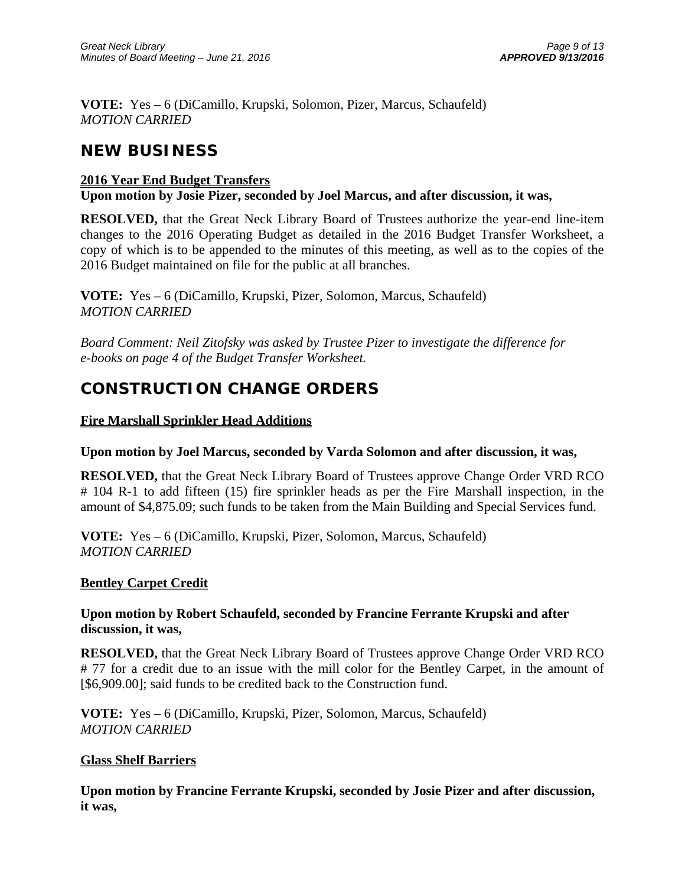**VOTE:** Yes – 6 (DiCamillo, Krupski, Solomon, Pizer, Marcus, Schaufeld) *MOTION CARRIED* 

# **NEW BUSINESS**

# **2016 Year End Budget Transfers**

**Upon motion by Josie Pizer, seconded by Joel Marcus, and after discussion, it was,** 

**RESOLVED,** that the Great Neck Library Board of Trustees authorize the year-end line-item changes to the 2016 Operating Budget as detailed in the 2016 Budget Transfer Worksheet, a copy of which is to be appended to the minutes of this meeting, as well as to the copies of the 2016 Budget maintained on file for the public at all branches.

**VOTE:** Yes – 6 (DiCamillo, Krupski, Pizer, Solomon, Marcus, Schaufeld) *MOTION CARRIED* 

*Board Comment: Neil Zitofsky was asked by Trustee Pizer to investigate the difference for e-books on page 4 of the Budget Transfer Worksheet.* 

# **CONSTRUCTION CHANGE ORDERS**

# **Fire Marshall Sprinkler Head Additions**

# **Upon motion by Joel Marcus, seconded by Varda Solomon and after discussion, it was,**

**RESOLVED,** that the Great Neck Library Board of Trustees approve Change Order VRD RCO # 104 R-1 to add fifteen (15) fire sprinkler heads as per the Fire Marshall inspection, in the amount of \$4,875.09; such funds to be taken from the Main Building and Special Services fund.

**VOTE:** Yes – 6 (DiCamillo, Krupski, Pizer, Solomon, Marcus, Schaufeld) *MOTION CARRIED* 

# **Bentley Carpet Credit**

# **Upon motion by Robert Schaufeld, seconded by Francine Ferrante Krupski and after discussion, it was,**

**RESOLVED,** that the Great Neck Library Board of Trustees approve Change Order VRD RCO # 77 for a credit due to an issue with the mill color for the Bentley Carpet, in the amount of [\$6,909.00]; said funds to be credited back to the Construction fund.

**VOTE:** Yes – 6 (DiCamillo, Krupski, Pizer, Solomon, Marcus, Schaufeld) *MOTION CARRIED* 

# **Glass Shelf Barriers**

**Upon motion by Francine Ferrante Krupski, seconded by Josie Pizer and after discussion, it was,**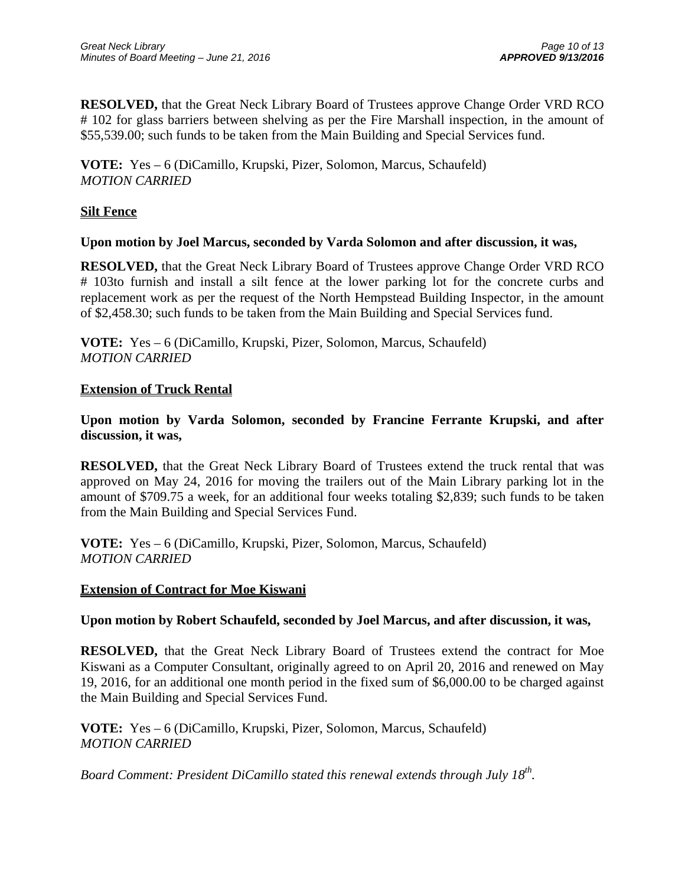**RESOLVED,** that the Great Neck Library Board of Trustees approve Change Order VRD RCO # 102 for glass barriers between shelving as per the Fire Marshall inspection, in the amount of \$55,539.00; such funds to be taken from the Main Building and Special Services fund.

**VOTE:** Yes – 6 (DiCamillo, Krupski, Pizer, Solomon, Marcus, Schaufeld) *MOTION CARRIED* 

# **Silt Fence**

## **Upon motion by Joel Marcus, seconded by Varda Solomon and after discussion, it was,**

**RESOLVED,** that the Great Neck Library Board of Trustees approve Change Order VRD RCO # 103to furnish and install a silt fence at the lower parking lot for the concrete curbs and replacement work as per the request of the North Hempstead Building Inspector, in the amount of \$2,458.30; such funds to be taken from the Main Building and Special Services fund.

**VOTE:** Yes – 6 (DiCamillo, Krupski, Pizer, Solomon, Marcus, Schaufeld) *MOTION CARRIED* 

## **Extension of Truck Rental**

**Upon motion by Varda Solomon, seconded by Francine Ferrante Krupski, and after discussion, it was,** 

**RESOLVED,** that the Great Neck Library Board of Trustees extend the truck rental that was approved on May 24, 2016 for moving the trailers out of the Main Library parking lot in the amount of \$709.75 a week, for an additional four weeks totaling \$2,839; such funds to be taken from the Main Building and Special Services Fund.

**VOTE:** Yes – 6 (DiCamillo, Krupski, Pizer, Solomon, Marcus, Schaufeld) *MOTION CARRIED* 

## **Extension of Contract for Moe Kiswani**

## **Upon motion by Robert Schaufeld, seconded by Joel Marcus, and after discussion, it was,**

**RESOLVED,** that the Great Neck Library Board of Trustees extend the contract for Moe Kiswani as a Computer Consultant, originally agreed to on April 20, 2016 and renewed on May 19, 2016, for an additional one month period in the fixed sum of \$6,000.00 to be charged against the Main Building and Special Services Fund.

**VOTE:** Yes – 6 (DiCamillo, Krupski, Pizer, Solomon, Marcus, Schaufeld) *MOTION CARRIED* 

*Board Comment: President DiCamillo stated this renewal extends through July 18th.*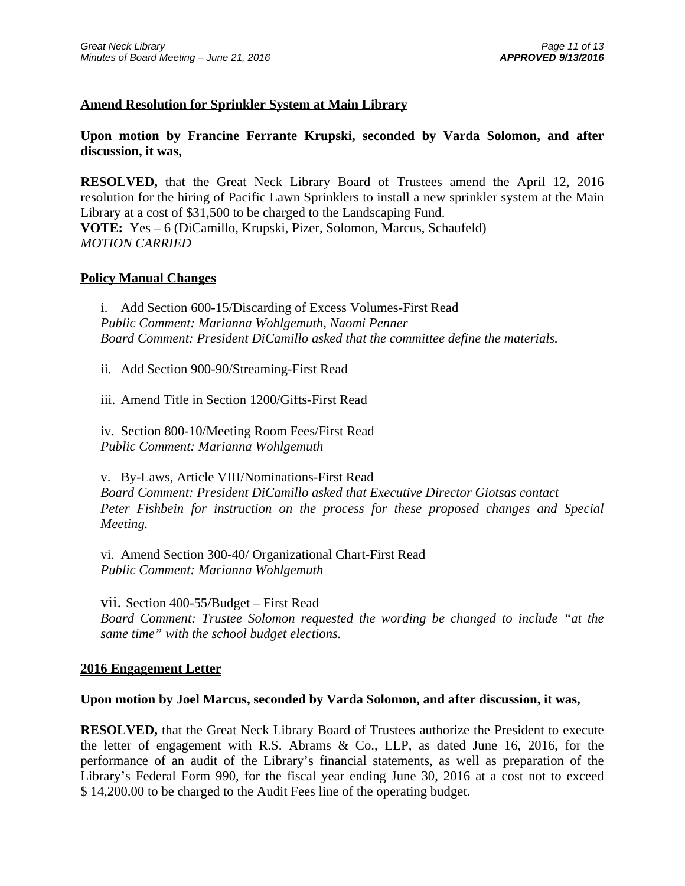## **Amend Resolution for Sprinkler System at Main Library**

**Upon motion by Francine Ferrante Krupski, seconded by Varda Solomon, and after discussion, it was,** 

**RESOLVED,** that the Great Neck Library Board of Trustees amend the April 12, 2016 resolution for the hiring of Pacific Lawn Sprinklers to install a new sprinkler system at the Main Library at a cost of \$31,500 to be charged to the Landscaping Fund. **VOTE:** Yes – 6 (DiCamillo, Krupski, Pizer, Solomon, Marcus, Schaufeld) *MOTION CARRIED* 

### **Policy Manual Changes**

i. Add Section 600-15/Discarding of Excess Volumes-First Read *Public Comment: Marianna Wohlgemuth, Naomi Penner Board Comment: President DiCamillo asked that the committee define the materials.* 

ii. Add Section 900-90/Streaming-First Read

iii. Amend Title in Section 1200/Gifts-First Read

iv. Section 800-10/Meeting Room Fees/First Read *Public Comment: Marianna Wohlgemuth*

v. By-Laws, Article VIII/Nominations-First Read *Board Comment: President DiCamillo asked that Executive Director Giotsas contact Peter Fishbein for instruction on the process for these proposed changes and Special Meeting.* 

vi. Amend Section 300-40/ Organizational Chart-First Read *Public Comment: Marianna Wohlgemuth*

vii. Section 400-55/Budget – First Read *Board Comment: Trustee Solomon requested the wording be changed to include "at the same time" with the school budget elections.* 

## **2016 Engagement Letter**

### **Upon motion by Joel Marcus, seconded by Varda Solomon, and after discussion, it was,**

**RESOLVED,** that the Great Neck Library Board of Trustees authorize the President to execute the letter of engagement with R.S. Abrams & Co., LLP, as dated June 16, 2016, for the performance of an audit of the Library's financial statements, as well as preparation of the Library's Federal Form 990, for the fiscal year ending June 30, 2016 at a cost not to exceed \$ 14,200.00 to be charged to the Audit Fees line of the operating budget.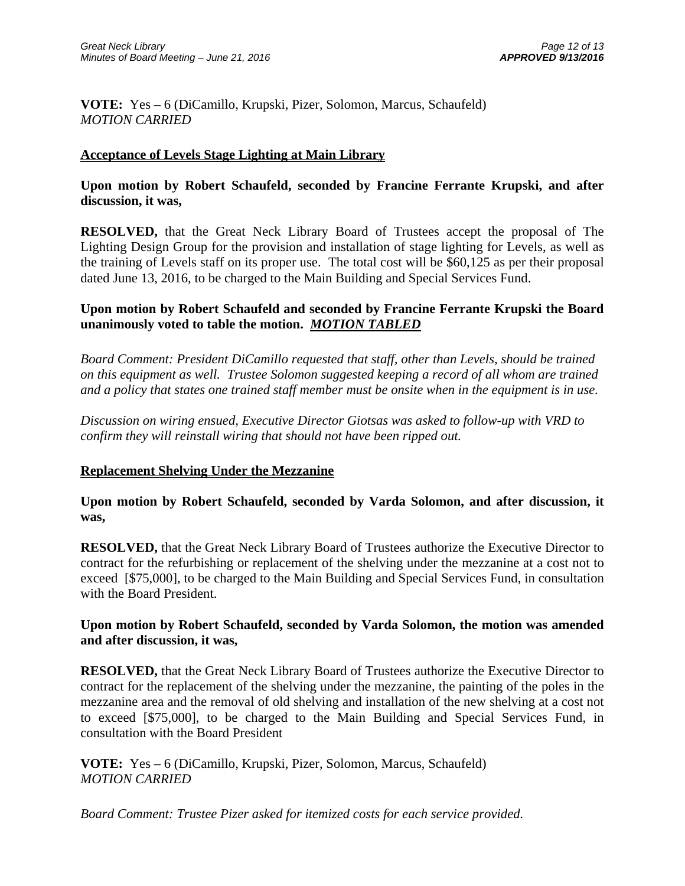**VOTE:** Yes – 6 (DiCamillo, Krupski, Pizer, Solomon, Marcus, Schaufeld) *MOTION CARRIED* 

# **Acceptance of Levels Stage Lighting at Main Library**

**Upon motion by Robert Schaufeld, seconded by Francine Ferrante Krupski, and after discussion, it was,** 

**RESOLVED,** that the Great Neck Library Board of Trustees accept the proposal of The Lighting Design Group for the provision and installation of stage lighting for Levels, as well as the training of Levels staff on its proper use. The total cost will be \$60,125 as per their proposal dated June 13, 2016, to be charged to the Main Building and Special Services Fund.

# **Upon motion by Robert Schaufeld and seconded by Francine Ferrante Krupski the Board unanimously voted to table the motion.** *MOTION TABLED*

*Board Comment: President DiCamillo requested that staff, other than Levels, should be trained on this equipment as well. Trustee Solomon suggested keeping a record of all whom are trained and a policy that states one trained staff member must be onsite when in the equipment is in use.* 

*Discussion on wiring ensued, Executive Director Giotsas was asked to follow-up with VRD to confirm they will reinstall wiring that should not have been ripped out.* 

## **Replacement Shelving Under the Mezzanine**

**Upon motion by Robert Schaufeld, seconded by Varda Solomon, and after discussion, it was,** 

**RESOLVED,** that the Great Neck Library Board of Trustees authorize the Executive Director to contract for the refurbishing or replacement of the shelving under the mezzanine at a cost not to exceed [\$75,000], to be charged to the Main Building and Special Services Fund, in consultation with the Board President.

# **Upon motion by Robert Schaufeld, seconded by Varda Solomon, the motion was amended and after discussion, it was,**

**RESOLVED,** that the Great Neck Library Board of Trustees authorize the Executive Director to contract for the replacement of the shelving under the mezzanine, the painting of the poles in the mezzanine area and the removal of old shelving and installation of the new shelving at a cost not to exceed [\$75,000], to be charged to the Main Building and Special Services Fund, in consultation with the Board President

**VOTE:** Yes – 6 (DiCamillo, Krupski, Pizer, Solomon, Marcus, Schaufeld) *MOTION CARRIED* 

*Board Comment: Trustee Pizer asked for itemized costs for each service provided.*